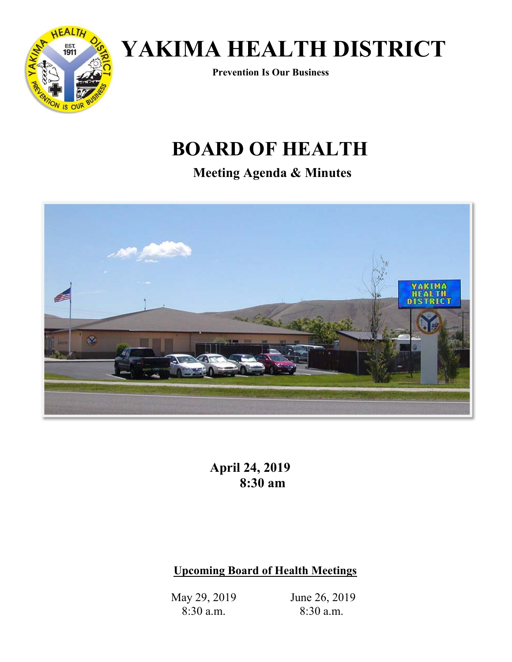

 **Prevention Is Our Business** 

# **BOARD OF HEALTH**

**Meeting Agenda & Minutes** 



 **April 24, 2019 8:30 am** 

### **Upcoming Board of Health Meetings**

May 29, 2019 8:30 a.m.

 June 26, 2019 8:30 a.m.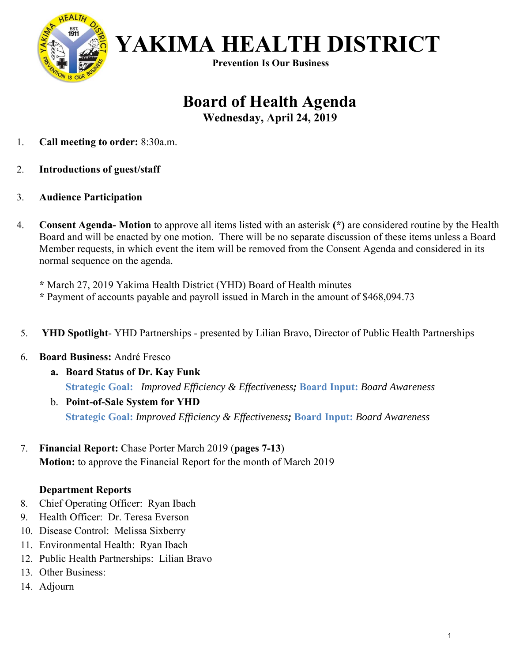

 **Prevention Is Our Business** 

### **Board of Health Agenda Wednesday, April 24, 2019**

- 1. **Call meeting to order:** 8:30a.m.
- 2. **Introductions of guest/staff**
- 3. **Audience Participation**
- 4. **Consent Agenda- Motion** to approve all items listed with an asterisk **(\*)** are considered routine by the Health Board and will be enacted by one motion. There will be no separate discussion of these items unless a Board Member requests, in which event the item will be removed from the Consent Agenda and considered in its normal sequence on the agenda.

**\*** March 27, 2019 Yakima Health District (YHD) Board of Health minutes

- **\*** Payment of accounts payable and payroll issued in March in the amount of \$468,094.73
- 5. **YHD Spotlight** YHD Partnerships presented by Lilian Bravo, Director of Public Health Partnerships
- 6. **Board Business:** André Fresco
	- **a. Board Status of Dr. Kay Funk Strategic Goal:** *Improved Efficiency & Effectiveness;* **Board Input:** *Board Awareness*
	- b. **Point-of-Sale System for YHD Strategic Goal:** *Improved Efficiency & Effectiveness;* **Board Input:** *Board Awareness*
- 7. **Financial Report:** Chase Porter March 2019 (**pages 7-13**) **Motion:** to approve the Financial Report for the month of March 2019

#### **Department Reports**

- 8. Chief Operating Officer: Ryan Ibach
- 9. Health Officer: Dr. Teresa Everson
- 10. Disease Control: Melissa Sixberry
- 11. Environmental Health: Ryan Ibach
- 12. Public Health Partnerships: Lilian Bravo
- 13. Other Business:
- 14. Adjourn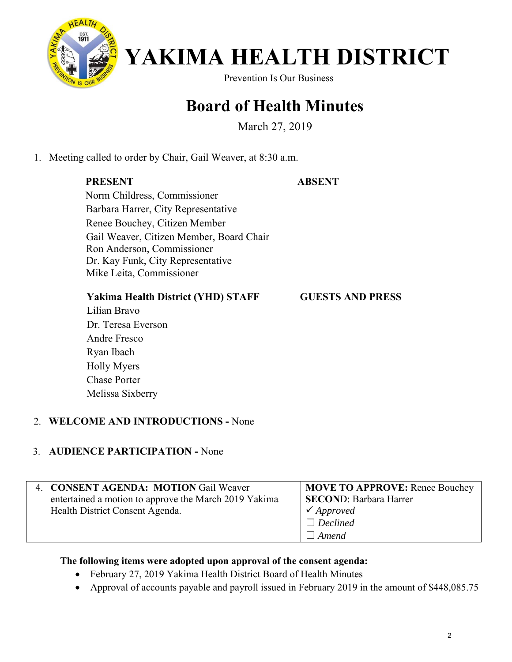

Prevention Is Our Business

## **Board of Health Minutes**

March 27, 2019

1. Meeting called to order by Chair, Gail Weaver, at 8:30 a.m.

#### **PRESENT**

#### **ABSENT**

 Norm Childress, Commissioner Barbara Harrer, City Representative Renee Bouchey, Citizen Member Gail Weaver, Citizen Member, Board Chair Ron Anderson, Commissioner Dr. Kay Funk, City Representative Mike Leita, Commissioner

#### **Yakima Health District (YHD) STAFF**

#### **GUESTS AND PRESS**

Lilian Bravo Dr. Teresa Everson Andre Fresco Ryan Ibach Holly Myers Chase Porter Melissa Sixberry

#### 2. **WELCOME AND INTRODUCTIONS -** None

#### 3. **AUDIENCE PARTICIPATION -** None

| 4. CONSENT AGENDA: MOTION Gail Weaver                 | <b>MOVE TO APPROVE: Renee Bouchey</b> |
|-------------------------------------------------------|---------------------------------------|
| entertained a motion to approve the March 2019 Yakima | <b>SECOND: Barbara Harrer</b>         |
| Health District Consent Agenda.                       | $\checkmark$ Approved                 |
|                                                       | $\Box$ Declined                       |
|                                                       | $\Box$ Amend                          |

#### **The following items were adopted upon approval of the consent agenda:**

- February 27, 2019 Yakima Health District Board of Health Minutes
- Approval of accounts payable and payroll issued in February 2019 in the amount of \$448,085.75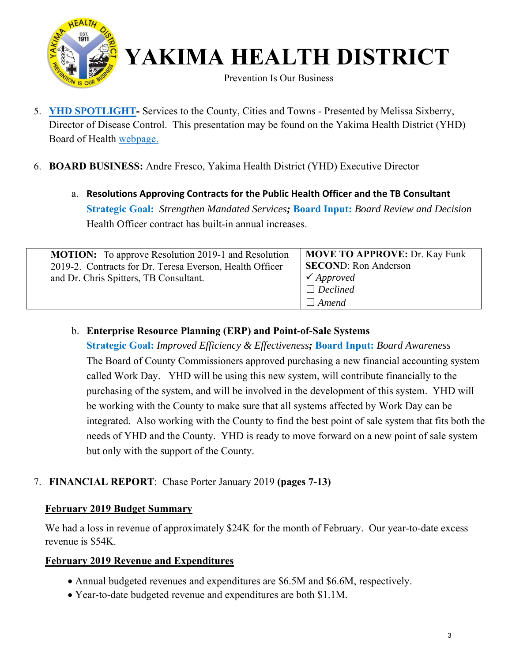

Prevention Is Our Business

- 5. **YHD SPOTLIGHT-** Services to the County, Cities and Towns Presented by Melissa Sixberry, Director of Disease Control. This presentation may be found on the Yakima Health District (YHD) Board of Health webpage.
- 6. **BOARD BUSINESS:** Andre Fresco, Yakima Health District (YHD) Executive Director
	- a. **Resolutions Approving Contracts for the Public Health Officer and the TB Consultant Strategic Goal:** *Strengthen Mandated Services;* **Board Input:** *Board Review and Decision*  Health Officer contract has built-in annual increases.

| <b>MOTION:</b> To approve Resolution 2019-1 and Resolution | <b>MOVE TO APPROVE: Dr. Kay Funk</b> |
|------------------------------------------------------------|--------------------------------------|
| 2019-2. Contracts for Dr. Teresa Everson, Health Officer   | <b>SECOND:</b> Ron Anderson          |
| and Dr. Chris Spitters, TB Consultant.                     | $\checkmark$ Approved                |
|                                                            | $\Box$ Declined                      |
|                                                            | Amend                                |

b. **Enterprise Resource Planning (ERP) and Point-of-Sale Systems** 

**Strategic Goal:** *Improved Efficiency & Effectiveness;* **Board Input:** *Board Awareness* The Board of County Commissioners approved purchasing a new financial accounting system called Work Day. YHD will be using this new system, will contribute financially to the purchasing of the system, and will be involved in the development of this system. YHD will be working with the County to make sure that all systems affected by Work Day can be integrated. Also working with the County to find the best point of sale system that fits both the needs of YHD and the County. YHD is ready to move forward on a new point of sale system but only with the support of the County.

#### 7. **FINANCIAL REPORT**: Chase Porter January 2019 **(pages 7-13)**

#### **February 2019 Budget Summary**

We had a loss in revenue of approximately \$24K for the month of February. Our year-to-date excess revenue is \$54K.

#### **February 2019 Revenue and Expenditures**

- Annual budgeted revenues and expenditures are \$6.5M and \$6.6M, respectively.
- Year-to-date budgeted revenue and expenditures are both \$1.1M.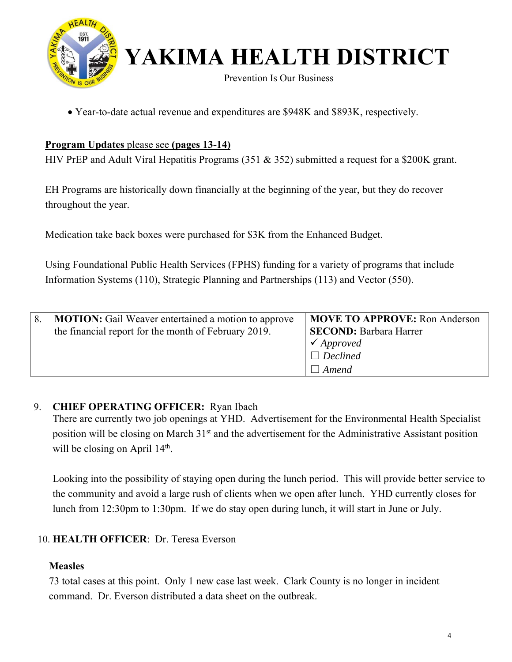

Prevention Is Our Business

Year-to-date actual revenue and expenditures are \$948K and \$893K, respectively.

#### **Program Updates** please see **(pages 13-14)**

HIV PrEP and Adult Viral Hepatitis Programs (351 & 352) submitted a request for a \$200K grant.

EH Programs are historically down financially at the beginning of the year, but they do recover throughout the year.

Medication take back boxes were purchased for \$3K from the Enhanced Budget.

Using Foundational Public Health Services (FPHS) funding for a variety of programs that include Information Systems (110), Strategic Planning and Partnerships (113) and Vector (550).

| <b>MOTION:</b> Gail Weaver entertained a motion to approve | MOVE TO APPROVE: Ron Anderson |
|------------------------------------------------------------|-------------------------------|
| the financial report for the month of February 2019.       | <b>SECOND: Barbara Harrer</b> |
|                                                            | $\checkmark$ Approved         |
|                                                            | $\Box$ Declined               |
|                                                            | $\Box$ Amend                  |

#### 9. **CHIEF OPERATING OFFICER:** Ryan Ibach

There are currently two job openings at YHD. Advertisement for the Environmental Health Specialist position will be closing on March 31<sup>st</sup> and the advertisement for the Administrative Assistant position will be closing on April 14<sup>th</sup>.

Looking into the possibility of staying open during the lunch period. This will provide better service to the community and avoid a large rush of clients when we open after lunch. YHD currently closes for lunch from 12:30pm to 1:30pm. If we do stay open during lunch, it will start in June or July.

#### 10. **HEALTH OFFICER**: Dr. Teresa Everson

#### **Measles**

73 total cases at this point. Only 1 new case last week. Clark County is no longer in incident command. Dr. Everson distributed a data sheet on the outbreak.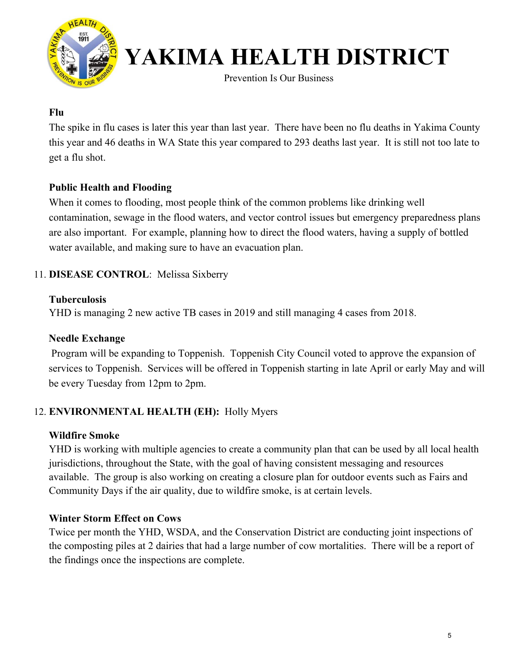

Prevention Is Our Business

#### **Flu**

The spike in flu cases is later this year than last year. There have been no flu deaths in Yakima County this year and 46 deaths in WA State this year compared to 293 deaths last year. It is still not too late to get a flu shot.

#### **Public Health and Flooding**

When it comes to flooding, most people think of the common problems like drinking well contamination, sewage in the flood waters, and vector control issues but emergency preparedness plans are also important. For example, planning how to direct the flood waters, having a supply of bottled water available, and making sure to have an evacuation plan.

#### 11. **DISEASE CONTROL**: Melissa Sixberry

#### **Tuberculosis**

YHD is managing 2 new active TB cases in 2019 and still managing 4 cases from 2018.

#### **Needle Exchange**

 Program will be expanding to Toppenish. Toppenish City Council voted to approve the expansion of services to Toppenish. Services will be offered in Toppenish starting in late April or early May and will be every Tuesday from 12pm to 2pm.

#### 12. **ENVIRONMENTAL HEALTH (EH):** Holly Myers

#### **Wildfire Smoke**

YHD is working with multiple agencies to create a community plan that can be used by all local health jurisdictions, throughout the State, with the goal of having consistent messaging and resources available. The group is also working on creating a closure plan for outdoor events such as Fairs and Community Days if the air quality, due to wildfire smoke, is at certain levels.

#### **Winter Storm Effect on Cows**

Twice per month the YHD, WSDA, and the Conservation District are conducting joint inspections of the composting piles at 2 dairies that had a large number of cow mortalities. There will be a report of the findings once the inspections are complete.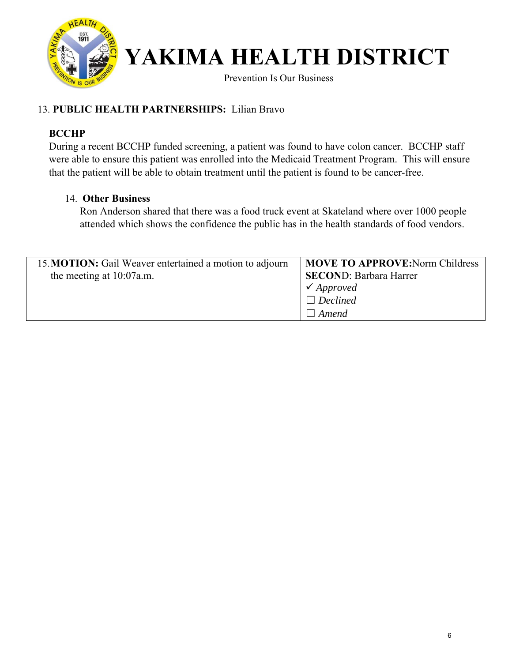

Prevention Is Our Business

#### 13. **PUBLIC HEALTH PARTNERSHIPS:** Lilian Bravo

#### **BCCHP**

During a recent BCCHP funded screening, a patient was found to have colon cancer. BCCHP staff were able to ensure this patient was enrolled into the Medicaid Treatment Program. This will ensure that the patient will be able to obtain treatment until the patient is found to be cancer-free.

#### 14. **Other Business**

Ron Anderson shared that there was a food truck event at Skateland where over 1000 people attended which shows the confidence the public has in the health standards of food vendors.

| 15. MOTION: Gail Weaver entertained a motion to adjourn | MOVE TO APPROVE: Norm Childress |
|---------------------------------------------------------|---------------------------------|
| the meeting at $10:07a$ .m.                             | <b>SECOND: Barbara Harrer</b>   |
|                                                         | $\checkmark$ Approved           |
|                                                         | $\Box$ Declined                 |
|                                                         | Amend                           |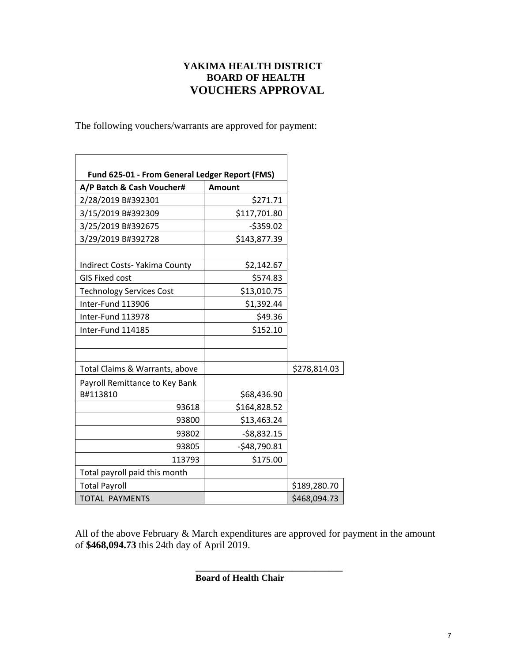#### **YAKIMA HEALTH DISTRICT BOARD OF HEALTH VOUCHERS APPROVAL**

The following vouchers/warrants are approved for payment:

| Fund 625-01 - From General Ledger Report (FMS) |               |              |
|------------------------------------------------|---------------|--------------|
| A/P Batch & Cash Voucher#                      | <b>Amount</b> |              |
| 2/28/2019 B#392301                             | \$271.71      |              |
| 3/15/2019 B#392309                             | \$117,701.80  |              |
| 3/25/2019 B#392675                             | $-5359.02$    |              |
| 3/29/2019 B#392728                             | \$143,877.39  |              |
| <b>Indirect Costs- Yakima County</b>           | \$2,142.67    |              |
| <b>GIS Fixed cost</b>                          | \$574.83      |              |
| <b>Technology Services Cost</b>                | \$13,010.75   |              |
| Inter-Fund 113906                              | \$1,392.44    |              |
| Inter-Fund 113978                              | \$49.36       |              |
| Inter-Fund 114185                              | \$152.10      |              |
|                                                |               |              |
| Total Claims & Warrants, above                 |               | \$278,814.03 |
| Payroll Remittance to Key Bank<br>B#113810     | \$68,436.90   |              |
| 93618                                          | \$164,828.52  |              |
| 93800                                          | \$13,463.24   |              |
| 93802                                          | $-58,832.15$  |              |
| 93805                                          | $-$48,790.81$ |              |
| 113793                                         | \$175.00      |              |
| Total payroll paid this month                  |               |              |
| <b>Total Payroll</b>                           |               | \$189,280.70 |
| <b>TOTAL PAYMENTS</b>                          |               | \$468,094.73 |

All of the above February & March expenditures are approved for payment in the amount of **\$468,094.73** this 24th day of April 2019.

**\_\_\_\_\_\_\_\_\_\_\_\_\_\_\_\_\_\_\_\_\_\_\_\_\_\_\_\_\_\_\_\_** 

 **Board of Health Chair**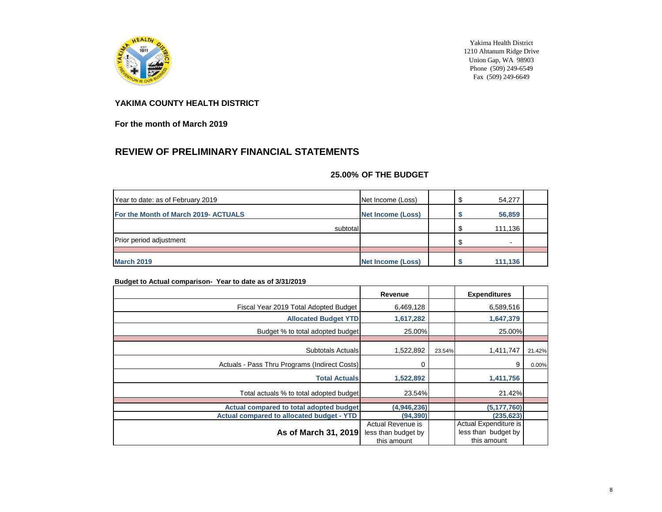

Yakima Health District 1210 Ahtanum Ridge Drive Union Gap, WA 98903 Phone  $(509)$  249-6549 Fax (509) 249-6649

#### **YAKIMA COUNTY HEALTH DISTRICT**

**For the month of March 2019**

### **REVIEW OF PRELIMINARY FINANCIAL STATEMENTS**

#### **25.00% OF THE BUDGET**

| Year to date: as of February 2019    | Net Income (Loss)        | 54,277  |
|--------------------------------------|--------------------------|---------|
| For the Month of March 2019- ACTUALS | <b>Net Income (Loss)</b> | 56,859  |
| subtotal                             |                          | 111,136 |
| <b>Prior period adjustment</b>       |                          | $\sim$  |
|                                      |                          |         |
| <b>March 2019</b>                    | <b>Net Income (Loss)</b> | 111,136 |

#### **Budget to Actual comparison- Year to date as of 3/31/2019**

|                                                  | Revenue             |        | <b>Expenditures</b>   |        |
|--------------------------------------------------|---------------------|--------|-----------------------|--------|
| Fiscal Year 2019 Total Adopted Budget            | 6,469,128           |        | 6,589,516             |        |
| <b>Allocated Budget YTD</b>                      | 1,617,282           |        | 1,647,379             |        |
| Budget % to total adopted budget                 | 25.00%              |        | 25.00%                |        |
|                                                  |                     |        |                       |        |
| <b>Subtotals Actuals</b>                         | 1,522,892           | 23.54% | 1,411,747             | 21.42% |
| Actuals - Pass Thru Programs (Indirect Costs)    | $\Omega$            |        | 9                     | 0.00%  |
| <b>Total Actuals</b>                             | 1,522,892           |        | 1,411,756             |        |
| Total actuals % to total adopted budget          | 23.54%              |        | 21.42%                |        |
|                                                  |                     |        |                       |        |
| Actual compared to total adopted budget          | (4,946,236)         |        | (5, 177, 760)         |        |
| <b>Actual compared to allocated budget - YTD</b> | (94, 390)           |        | (235, 623)            |        |
|                                                  | Actual Revenue is   |        | Actual Expenditure is |        |
| As of March 31, 2019                             | less than budget by |        | less than budget by   |        |
|                                                  | this amount         |        | this amount           |        |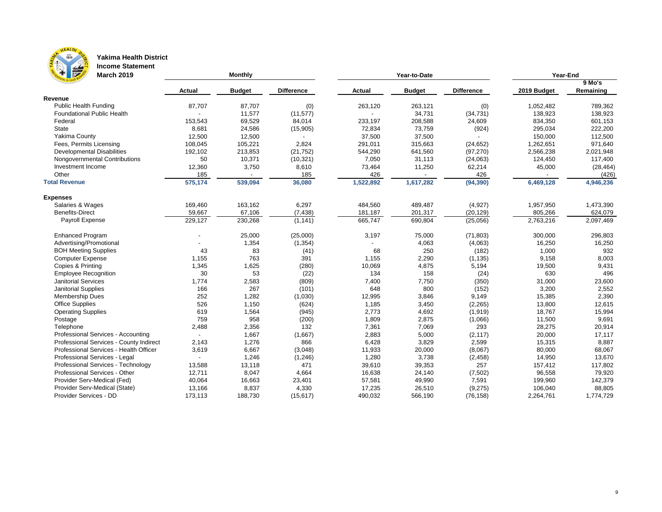

### **Yakima Health District**

**Income Statement**

| LE BO<br><b>March 2019</b>              |               | <b>Monthly</b> |                       |               | Year-to-Date  | <b>Year-End</b>   |             |           |  |
|-----------------------------------------|---------------|----------------|-----------------------|---------------|---------------|-------------------|-------------|-----------|--|
|                                         |               |                |                       |               |               |                   |             | 9 Mo's    |  |
|                                         | <b>Actual</b> | <b>Budget</b>  | <b>Difference</b>     | <b>Actual</b> | <b>Budget</b> | <b>Difference</b> | 2019 Budget | Remaining |  |
| Revenue                                 |               |                |                       |               |               |                   |             |           |  |
| <b>Public Health Funding</b>            | 87,707        | 87,707         | (0)                   | 263,120       | 263,121       | (0)               | 1,052,482   | 789,362   |  |
| <b>Foundational Public Health</b>       |               | 11,577         | (11, 577)             |               | 34,731        | (34, 731)         | 138,923     | 138,923   |  |
| Federal                                 | 153,543       | 69,529         | 84,014                | 233,197       | 208,588       | 24,609            | 834,350     | 601,153   |  |
| <b>State</b>                            | 8,681         | 24,586         | (15,905)              | 72,834        | 73,759        | (924)             | 295,034     | 222,200   |  |
| Yakima County                           | 12,500        | 12,500         |                       | 37,500        | 37,500        |                   | 150,000     | 112,500   |  |
| Fees, Permits Licensing                 | 108,045       | 105,221        | 2,824                 | 291,011       | 315,663       | (24, 652)         | 1,262,651   | 971,640   |  |
| <b>Developmental Disabilities</b>       | 192,102       | 213,853        | (21, 752)             | 544,290       | 641,560       | (97, 270)         | 2,566,238   | 2,021,948 |  |
| Nongovernmental Contributions           | 50            | 10,371         | (10, 321)             | 7,050         | 31,113        | (24,063)          | 124,450     | 117,400   |  |
| Investment Income                       | 12,360        | 3,750          | 8,610                 | 73,464        | 11,250        | 62,214            | 45,000      | (28, 464) |  |
| Other                                   | 185           |                | 185                   | 426           |               | 426               |             | (426)     |  |
| <b>Total Revenue</b>                    | 575,174       | 539,094        | 36,080                | 1,522,892     | 1,617,282     | (94, 390)         | 6,469,128   | 4,946,236 |  |
| <b>Expenses</b>                         |               |                |                       |               |               |                   |             |           |  |
| Salaries & Wages                        | 169,460       | 163,162        | 6,297                 | 484,560       | 489,487       | (4,927)           | 1,957,950   | 1,473,390 |  |
| <b>Benefits-Direct</b>                  | 59,667        | 67,106         | (7, 438)              | 181,187       | 201,317       | (20, 129)         | 805,266     | 624,079   |  |
| Payroll Expense                         | 229,127       | 230,268        | $(1, 14\overline{1})$ | 665,747       | 690,804       | (25,056)          | 2,763,216   | 2,097,469 |  |
| <b>Enhanced Program</b>                 |               | 25,000         | (25,000)              | 3,197         | 75,000        | (71, 803)         | 300,000     | 296,803   |  |
| Advertising/Promotional                 |               | 1,354          | (1, 354)              |               | 4,063         | (4,063)           | 16,250      | 16,250    |  |
| <b>BOH Meeting Supplies</b>             | 43            | 83             | (41)                  | 68            | 250           | (182)             | 1,000       | 932       |  |
| <b>Computer Expense</b>                 | 1,155         | 763            | 391                   | 1,155         | 2,290         | (1, 135)          | 9,158       | 8,003     |  |
| Copies & Printing                       | 1,345         | 1,625          | (280)                 | 10,069        | 4,875         | 5,194             | 19,500      | 9,431     |  |
| <b>Employee Recognition</b>             | 30            | 53             | (22)                  | 134           | 158           | (24)              | 630         | 496       |  |
| <b>Janitorial Services</b>              | 1,774         | 2,583          | (809)                 | 7,400         | 7,750         | (350)             | 31,000      | 23,600    |  |
| <b>Janitorial Supplies</b>              | 166           | 267            | (101)                 | 648           | 800           | (152)             | 3,200       | 2,552     |  |
| <b>Membership Dues</b>                  | 252           | 1,282          | (1,030)               | 12,995        | 3,846         | 9,149             | 15,385      | 2,390     |  |
| <b>Office Supplies</b>                  | 526           | 1,150          | (624)                 | 1,185         | 3,450         | (2, 265)          | 13,800      | 12,615    |  |
| <b>Operating Supplies</b>               | 619           | 1,564          | (945)                 | 2,773         | 4,692         | (1, 919)          | 18,767      | 15,994    |  |
| Postage                                 | 759           | 958            | (200)                 | 1,809         | 2,875         | (1,066)           | 11,500      | 9,691     |  |
| Telephone                               | 2,488         | 2,356          | 132                   | 7,361         | 7,069         | 293               | 28,275      | 20,914    |  |
| Professional Services - Accounting      |               | 1,667          | (1,667)               | 2,883         | 5,000         | (2, 117)          | 20,000      | 17,117    |  |
| Professional Services - County Indirect | 2,143         | 1,276          | 866                   | 6,428         | 3,829         | 2,599             | 15,315      | 8,887     |  |
| Professional Services - Health Officer  | 3,619         | 6,667          | (3,048)               | 11,933        | 20,000        | (8,067)           | 80,000      | 68,067    |  |
| Professional Services - Legal           |               | 1,246          | (1, 246)              | 1,280         | 3,738         | (2, 458)          | 14,950      | 13,670    |  |
| Professional Services - Technology      | 13,588        | 13,118         | 471                   | 39,610        | 39,353        | 257               | 157,412     | 117,802   |  |
| Professional Services - Other           | 12,711        | 8,047          | 4,664                 | 16,638        | 24,140        | (7, 502)          | 96,558      | 79,920    |  |
| Provider Serv-Medical (Fed)             | 40,064        | 16,663         | 23,401                | 57,581        | 49,990        | 7,591             | 199,960     | 142,379   |  |
| Provider Serv-Medical (State)           | 13,166        | 8,837          | 4,330                 | 17,235        | 26,510        | (9,275)           | 106,040     | 88,805    |  |
| Provider Services - DD                  | 173,113       | 188,730        | (15, 617)             | 490,032       | 566,190       | (76, 158)         | 2,264,761   | 1,774,729 |  |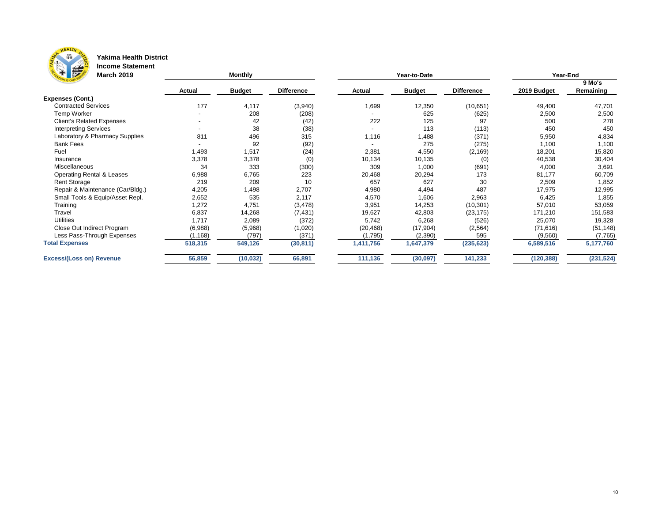

## **Yakima Health District**

**Income Statement**

| The Congress of the Congress of<br><b>March 2019</b> |               | <b>Monthly</b> |                   | Year-to-Date  |               |                   | Year-End    |            |  |
|------------------------------------------------------|---------------|----------------|-------------------|---------------|---------------|-------------------|-------------|------------|--|
|                                                      |               |                |                   |               |               |                   |             | $9$ Mo's   |  |
|                                                      | <b>Actual</b> | <b>Budget</b>  | <b>Difference</b> | <b>Actual</b> | <b>Budget</b> | <b>Difference</b> | 2019 Budget | Remaining  |  |
| <b>Expenses (Cont.)</b>                              |               |                |                   |               |               |                   |             |            |  |
| <b>Contracted Services</b>                           | 177           | 4,117          | (3,940)           | 1,699         | 12,350        | (10, 651)         | 49,400      | 47,701     |  |
| <b>Temp Worker</b>                                   |               | 208            | (208)             |               | 625           | (625)             | 2,500       | 2,500      |  |
| <b>Client's Related Expenses</b>                     |               | 42             | (42)              | 222           | 125           | 97                | 500         | 278        |  |
| <b>Interpreting Services</b>                         |               | 38             | (38)              |               | 113           | (113)             | 450         | 450        |  |
| Laboratory & Pharmacy Supplies                       | 811           | 496            | 315               | 1,116         | 1,488         | (371)             | 5,950       | 4,834      |  |
| <b>Bank Fees</b>                                     |               | 92             | (92)              |               | 275           | (275)             | 1,100       | 1,100      |  |
| Fuel                                                 | 1,493         | 1,517          | (24)              | 2,381         | 4,550         | (2, 169)          | 18,201      | 15,820     |  |
| Insurance                                            | 3,378         | 3,378          | (0)               | 10,134        | 10,135        | (0)               | 40,538      | 30,404     |  |
| Miscellaneous                                        | 34            | 333            | (300)             | 309           | 1,000         | (691)             | 4,000       | 3,691      |  |
| <b>Operating Rental &amp; Leases</b>                 | 6,988         | 6,765          | 223               | 20,468        | 20,294        | 173               | 81,177      | 60,709     |  |
| <b>Rent Storage</b>                                  | 219           | 209            | 10                | 657           | 627           | 30                | 2,509       | 1,852      |  |
| Repair & Maintenance (Car/Bldg.)                     | 4,205         | 1,498          | 2,707             | 4,980         | 4,494         | 487               | 17,975      | 12,995     |  |
| Small Tools & Equip/Asset Repl.                      | 2,652         | 535            | 2,117             | 4,570         | 1,606         | 2,963             | 6,425       | 1,855      |  |
| Training                                             | 1,272         | 4,751          | (3, 478)          | 3,951         | 14,253        | (10, 301)         | 57,010      | 53,059     |  |
| Travel                                               | 6,837         | 14,268         | (7, 431)          | 19,627        | 42,803        | (23, 175)         | 171,210     | 151,583    |  |
| <b>Utilities</b>                                     | 1,717         | 2,089          | (372)             | 5,742         | 6,268         | (526)             | 25,070      | 19,328     |  |
| Close Out Indirect Program                           | (6,988)       | (5,968)        | (1,020)           | (20, 468)     | (17, 904)     | (2, 564)          | (71, 616)   | (51, 148)  |  |
| Less Pass-Through Expenses                           | (1, 168)      | (797)          | (371)             | (1,795)       | (2, 390)      | 595               | (9,560)     | (7, 765)   |  |
| <b>Total Expenses</b>                                | 518,315       | 549,126        | (30, 811)         | 1,411,756     | 1,647,379     | (235, 623)        | 6,589,516   | 5,177,760  |  |
| <b>Excess/(Loss on) Revenue</b>                      | 56,859        | (10, 032)      | 66,891            | 111,136       | (30,097)      | 141,233           | (120, 388)  | (231, 524) |  |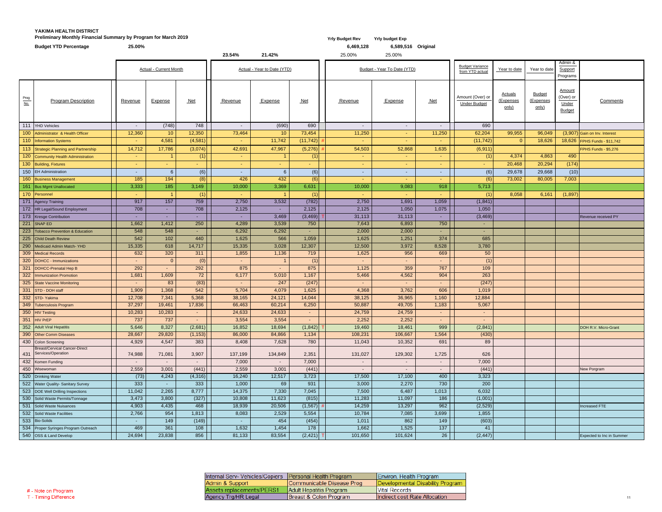### **YAKIMA HEALTH DISTRICT Preliminary Monthly Financial Summary by Program for March 2019** *Yrly Budget Rev**Yrly Budget Rev**Yrly budget Exp*

|                                | <b>Budget YTD Percentage</b>                                   | 25.00%           |                               |                  |                  |                             |                 | 6,469,128        | 6,589,516 Original          |                |                                           |                                             |                                            |                                                      |                                 |
|--------------------------------|----------------------------------------------------------------|------------------|-------------------------------|------------------|------------------|-----------------------------|-----------------|------------------|-----------------------------|----------------|-------------------------------------------|---------------------------------------------|--------------------------------------------|------------------------------------------------------|---------------------------------|
|                                |                                                                |                  |                               |                  | 23.54%           | 21.42%                      |                 | 25.00%           | 25.00%                      |                |                                           |                                             |                                            |                                                      |                                 |
|                                |                                                                |                  | <b>Actual - Current Month</b> |                  |                  | Actual - Year to Date (YTD) |                 |                  | Budget - Year To Date (YTD) |                | <b>Budget Variance</b><br>from YTD actual | Year to date                                | Year to date                               | Admin &<br>Support                                   |                                 |
|                                |                                                                |                  |                               |                  |                  |                             |                 |                  |                             |                |                                           |                                             |                                            | Programs                                             |                                 |
| $rac{\text{Prog}}{\text{No.}}$ | <b>Program Description</b>                                     | Revenue          | <b>Expense</b>                | $Net$            | Revenue          | Expense                     | <u>Net</u>      | Revenue          | <b>Expense</b>              | $Net$          | Amount (Over) or<br><b>Under Budget</b>   | <b>Actuals</b><br>(Expenses<br><u>only)</u> | <b>Budget</b><br>(Expenses<br><u>only)</u> | <u>Amount</u><br>(Over) or<br>Under<br><b>Budget</b> | Comments                        |
|                                | 111 YHD Vehicles                                               |                  | (748)                         | 748              | $\sim$           | (690)                       | 690             | $\sim$           | $\sim$                      | $\sim$         | 690                                       |                                             |                                            |                                                      |                                 |
|                                | 100 Administrator & Health Officer                             | 12,360           | 10 <sup>°</sup>               | 12,350           | 73,464           | 10                          | 73,454          | 11,250           | $\sim$                      | 11,250         | 62,204                                    | 99,955                                      | 96,049                                     |                                                      | $(3,907)$ Gain on Inv. Interest |
|                                | 110 Information Systems                                        |                  | 4,581                         | (4,581)          | $\sim$           | 11,742                      | (11, 742)       |                  | <b>Section</b>              | $\sim$         | (11, 742)                                 |                                             | 18,626                                     |                                                      | 18,626 FPHS Funds - \$11,742    |
|                                | 113 Strategic Planning and Partnership                         | 14,712           | 17,786                        | (3,074)          | 42,691           | 47,967                      | (5,276)         | 54,503           | 52,868                      | 1,635          | (6,911)                                   |                                             |                                            |                                                      | FPHS Funds - \$5,276            |
|                                | 120 Community Health Administration                            |                  |                               | (1)              | ÷                |                             | (1)             |                  | <b>Contract</b>             | $\sim$         | (1)                                       | 4,374                                       | 4,863                                      | 490                                                  |                                 |
|                                | 130 Building, Fixtures                                         | <b>Contract</b>  | $\sim$                        | $\sim$           | $\sim$           | <b>Section</b>              | $\sim$          | <b>Contract</b>  | $\sim$                      | $\sim$         |                                           | 20,468                                      | 20,294                                     | (174)                                                |                                 |
|                                | 150 EH Administration                                          |                  | 6                             | (6)              | $\sim$           | -6                          | (6)             | $\sim$ 100 $\pm$ | $\sim$                      | ۰.             | (6)                                       | 29,678                                      | 29,668                                     | (10)                                                 |                                 |
|                                | 160 Business Management                                        | 185              | 194                           | (8)              | 426              | 432                         | (6)             | <b>Contract</b>  | <b>Contract</b>             | $\sim$         | (6)                                       | 73,002                                      | 80,005                                     | 7,003                                                |                                 |
|                                | 161 Bus Mgmt Unallocated                                       | 3,333            | 185                           | 3,149            | 10,000           | 3,369                       | 6,631           | 10,000           | 9,083                       | 918            | 5,713                                     |                                             |                                            |                                                      |                                 |
|                                | 170 Personnel                                                  |                  |                               | (1)              | $\sim$           |                             | (1)             |                  | <b>Section</b>              | $\sim$         | (1)                                       | 8,058                                       | 6,161                                      | (1,897)                                              |                                 |
|                                | 171 Agency Training                                            | 917              | 157                           | 759              | 2,750            | 3,532                       | (782)           | 2,750            | 1,691                       | 1,059          | (1,841)                                   |                                             |                                            |                                                      |                                 |
|                                | 172 HR Legal/Sound Employment                                  | 708              | $\sim$                        | 708              | 2,125            |                             | 2,125           | 2,125            | 1,050                       | 1,075          | 1,050                                     |                                             |                                            |                                                      |                                 |
|                                | 173 Kresge Contribution                                        |                  | $\sim$                        | ٠.               | ٠                | 3,469                       | $(3,469)$ T     | 31,113           | 31,113                      | $\sim$         | (3, 469)                                  |                                             |                                            |                                                      | Revenue received PY             |
|                                | 221 SNAP ED                                                    | 1,662            | 1,412                         | 250              | 4,289            | 3,539                       | 750             | 7,643            | 6,893                       | 750            |                                           |                                             |                                            |                                                      |                                 |
|                                | 223 Tobacco Prevention & Education                             | 548              | 548                           |                  | 6,292            | 6,292                       |                 | 2,000            | 2,000                       |                |                                           |                                             |                                            |                                                      |                                 |
|                                | 225 Child Death Review<br>$\mathbf{1}$                         | 542              | 102                           | $440$            | 1,625            | 566                         | 1,059           | 1,625            | 1,251                       | 374            | 685                                       |                                             |                                            |                                                      |                                 |
|                                | 290 Medicaid Admin Match-YHD                                   | 15,335           | 618                           | 14,717           | 15,335           | 3,028                       | 12,307          | 12,500           | 3,972                       | 8,528          | 3,780                                     |                                             |                                            |                                                      |                                 |
|                                | 309 Medical Records                                            | 632              | 320                           | 311              | 1,855            | 1,136                       | 719             | 1,625            | 956                         | 669            | 50                                        |                                             |                                            |                                                      |                                 |
|                                | 320 DOHCC - Immunizations                                      |                  | $\overline{0}$                | (0)              | $\sim$           |                             | (1)             |                  | $\sim$ 10 $\pm$             | $\blacksquare$ | (1)                                       |                                             |                                            |                                                      |                                 |
|                                | 321 DOHCC-Prenatal Hep B                                       | 292              | $\sim$                        | 292              | 875              | <b>Contract</b>             | 875             | 1,125            | 359                         | 767            | 109                                       |                                             |                                            |                                                      |                                 |
|                                | 322   Immunization Promotion                                   | 1,681            | 1,609                         | 72               | 6,177            | 5,010                       | 1,167           | 5,466            | 4,562                       | 904            | 263                                       |                                             |                                            |                                                      |                                 |
|                                | 325 State Vaccine Monitoring                                   |                  | 83                            | (83)             | $\sim$           | 247                         | (247)           |                  |                             |                | (247)                                     |                                             |                                            |                                                      |                                 |
|                                | $331$ STD - DOH staff                                          | 1,909            | 1,368                         | 542              | 5,704            | 4,079                       | 1,625           | 4,368            | 3,762                       | 606            | 1,019                                     |                                             |                                            |                                                      |                                 |
|                                | 332 STD-Yakima                                                 | 12,708           | 7,341                         | 5,368            | 38,165           | 24,121                      | 14,044          | 38,125           | 36,965                      | 1,160          | 12,884                                    |                                             |                                            |                                                      |                                 |
|                                | 349 Tuberculosis Program<br>350 HIV Testing                    | 37,297<br>10,283 | 19,461<br>10,283              | 17,836<br>$\sim$ | 66,463<br>24,633 | 60,214<br>24,633            | 6,250<br>$\sim$ | 50,887<br>24,759 | 49,705<br>24,759            | 1,183<br>н.    | 5,067                                     |                                             |                                            |                                                      |                                 |
|                                | 351 HIV PrEP                                                   | 737              | 737                           | $\sim$           | 3,554            | 3,554                       |                 | 2,252            | 2,252                       | $\sim$         |                                           |                                             |                                            |                                                      |                                 |
|                                | 352 Adult Viral Hepatitis                                      | 5,646            | 8,327                         | (2,681)          | 16,852           | 18,694                      | (1, 842)        | 19,460           | 18,461                      | 999            | (2,841)                                   |                                             |                                            |                                                      | DOH R.V. Micro-Grant            |
|                                | 390 Other Comm Diseases                                        | 28,667           | 29,820                        | (1, 153)         | 86,000           | 84,866                      | 1,134           | 108,231          | 106,667                     | 1,564          | (430)                                     |                                             |                                            |                                                      |                                 |
|                                | 430 Colon Screening                                            | 4,929            | 4,547                         | 383              | 8,408            | 7,628                       | 780             | 11,043           | 10,352                      | 691            | 89                                        |                                             |                                            |                                                      |                                 |
|                                | <b>Breast/Cervical Cancer-Direct</b><br>431 Services/Operation | 74,988           | 71,081                        | 3,907            | 137,199          | 134,849                     | 2,351           | 131,027          | 129,302                     | 1,725          | 626                                       |                                             |                                            |                                                      |                                 |
|                                | 432 Komen Funding                                              |                  |                               | $\sim$           | 7,000            |                             | 7,000           |                  | $\sim$                      | $\blacksquare$ | 7,000                                     |                                             |                                            |                                                      |                                 |
|                                | 450 Wisewoman                                                  | 2,559            | 3,001                         | (441)            | 2,559            | 3,001                       | (441)           |                  |                             | $\blacksquare$ | (441)                                     |                                             |                                            |                                                      | New Porgram                     |
|                                | 520 Drinking Water                                             | (73)             | 4,243                         | (4,316)          | 16,240           | 12,517                      | 3,723           | 17,500           | 17,100                      | 400            | 3,323                                     |                                             |                                            |                                                      |                                 |
|                                | 522 Water Quality- Sanitary Survey                             | 333              | $\sim$                        | 333              | 1,000            | 69                          | 931             | 3,000            | 2,270                       | 730            | 200                                       |                                             |                                            |                                                      |                                 |
|                                | 523 DOE Well Drilling Inspections                              | 11,042           | 2,265                         | 8,777            | 14,375           | 7,330                       | 7,045           | 7,500            | 6,487                       | 1,013          | 6,032                                     |                                             |                                            |                                                      |                                 |
|                                | 530 Solid Waste Permits/Tonnage                                | 3,473            | 3,800                         | (327)            | 10,808           | 11,623                      | (815)           | 11,283           | 11,097                      | 186            | (1,001)                                   |                                             |                                            |                                                      |                                 |
|                                | 531 Solid Waste Nuisances                                      | 4,903            | 4,435                         | 468              | 18,939           | 20,506                      | (1, 567)        | 14,259           | 13,297                      | 962            | (2,529)                                   |                                             |                                            |                                                      | Increased FTE                   |
|                                | 532 Solid Waste Facilities                                     | 2,766            | 954                           | 1,813            | 8,083            | 2,529                       | 5,554           | 10,784           | 7,085                       | 3,699          | 1,855                                     |                                             |                                            |                                                      |                                 |
|                                | 533 Bio-Solids                                                 |                  | 149                           | (149)            | $\sim$           | 454                         | (454)           | 1,011            | 862                         | 149            | (603)                                     |                                             |                                            |                                                      |                                 |
|                                | 534 Proper Syringes Program Outreach                           | 469              | 361                           | 108              | 1,632            | 1,454                       | 178             | 1,662            | 1,525                       | 137            | 41                                        |                                             |                                            |                                                      |                                 |
|                                | 540 OSS & Land Develop                                         | 24,694           | 23,838                        | $856$            | 81,133           | 83,554                      | $(2,421)$ T     | 101,650          | 101,624                     | $26 \mid$      | (2, 447)                                  |                                             |                                            |                                                      | Expected to Inc in Summer       |

| Internal Serv- Vehicles/Copiers   Personal Health Program |                           | <b>Envil</b> |
|-----------------------------------------------------------|---------------------------|--------------|
| Admin & Support                                           | Communicable Disease Prog | Deve         |
| Assets replacements/PERS1                                 | Adult Hepatitis Program   | <b>Vital</b> |
| Agency Trg/HR Legal                                       | Breast & Colon Program    | Indire       |

| on. Health Program          |
|-----------------------------|
| opmental Disability Program |
| <b>Records</b>              |
| ct cost Rate Allocation     |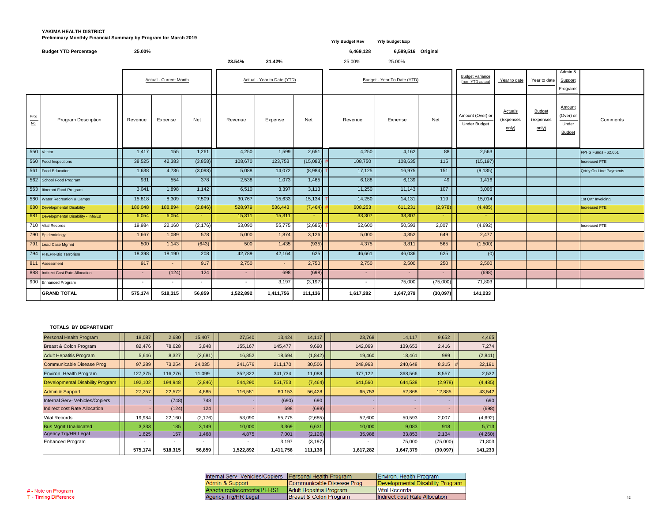#### **YAKIMA HEALTH DISTRICT Preliminary Monthly Financial Summary by Program for March 2019**

**Yrly Budget Rev Yrly budget Exp**

| <b>Budget YTD Percentage</b> |                                        | 25.00%                        |                          |          | 23.54%                      | 21.42%     |              | 6,469,128<br>25.00%         | 6,589,516 Original<br>25.00% |                                           |                                         |                                             |                                     |                                                      |                                |
|------------------------------|----------------------------------------|-------------------------------|--------------------------|----------|-----------------------------|------------|--------------|-----------------------------|------------------------------|-------------------------------------------|-----------------------------------------|---------------------------------------------|-------------------------------------|------------------------------------------------------|--------------------------------|
|                              |                                        | <b>Actual - Current Month</b> |                          |          | Actual - Year to Date (YTD) |            |              | Budget - Year To Date (YTD) |                              | <b>Budget Variance</b><br>from YTD actual | Year to date                            | Year to date                                | Admin &<br>Support<br>Programs      |                                                      |                                |
| Prog<br>No.                  | <b>Program Description</b>             | Revenue                       | <b>Expense</b>           | $Net$    | Revenue                     | Expense    | $Net$        | Revenue                     | <b>Expense</b>               | $Net$                                     | Amount (Over) or<br><b>Under Budget</b> | <b>Actuals</b><br><u>(Expenses</u><br>only) | <b>Budget</b><br>Expenses)<br>only) | <b>Amount</b><br>(Over) or<br>Under<br><b>Budget</b> | Comments                       |
|                              | 550 Vector                             | 1,417                         | 155                      | 1,261    | 4,250                       | 1,599      | 2,651        | 4,250                       | 4,162                        | 88                                        | 2,563                                   |                                             |                                     |                                                      | FPHS Funds - \$2,651           |
|                              | 560 Food Inspections                   | 38,525                        | 42,383                   | (3,858)  | 108,670                     | 123,753    | $(15,083)$ # | 108,750                     | 108,635                      | 115                                       | (15, 197)                               |                                             |                                     |                                                      | Increased FTE                  |
|                              | 561 Food Education                     | 1,638                         | 4,736                    | (3,098)  | 5,088                       | 14,072     | $(8,984)$ T  | 17,125                      | 16,975                       | 151                                       | (9, 135)                                |                                             |                                     |                                                      | <b>Qrtrly On-Line Payments</b> |
|                              | 562 School Food Program                | 931                           | 554                      | 378      | 2,538                       | 1,073      | 1,465        | 6,188                       | 6,139                        | 49                                        | 1,416                                   |                                             |                                     |                                                      |                                |
|                              | 563 Itinerant Food Program             | 3,041                         | 1,898                    | 1,142    | 6,510                       | 3,397      | 3,113        | 11,250                      | 11,143                       | 107                                       | 3,006                                   |                                             |                                     |                                                      |                                |
|                              | 580 Water Recreation & Camps           | 15,818                        | 8,309                    | 7,509    | 30,767                      | 15,633     | 15,134   T   | 14,250                      | 14,131                       | 119                                       | 15,014                                  |                                             |                                     |                                                      | 1st Qrtr Invoicing             |
|                              | 680 Developmental Disability           | 186,048                       | 188,894                  | (2,846)  | 528,979                     | 536,443    | $(7,464)$ #  | 608,253                     | 611,231                      | (2,978)                                   | (4, 485)                                |                                             |                                     |                                                      | Increased FTE                  |
|                              | 681 Developmental Disability - Info/Ed | 6,054                         | 6,054                    |          | 15,311                      | 15,311     | <b>Sec</b>   | 33,307                      | 33,307                       | $\sim$                                    |                                         |                                             |                                     |                                                      |                                |
|                              | 710 Vital Records                      | 19,984                        | 22,160                   | (2, 176) | 53,090                      | 55,775     | (2,685)      | 52,600                      | 50,593                       | 2,007                                     | (4,692)                                 |                                             |                                     |                                                      | Increased FTE                  |
|                              | 790 Epidemiology                       | 1,667                         | 1,089                    | 578      | 5,000                       | 1,874      | 3,126        | 5,000                       | 4,352                        | 649                                       | 2,477                                   |                                             |                                     |                                                      |                                |
|                              | 791 Lead Case Mgmnt<br>- 1             | 500                           | 1,143                    | (643)    | 500                         | 1,435      | (935)        | 4,375                       | 3,811                        | 565                                       | (1,500)                                 |                                             |                                     |                                                      |                                |
|                              | 794 PHEPR-Bio Terrorism                | 18,398                        | 18,190                   | 208      | 42,789                      | 42,164     | 625          | 46,661                      | 46,036                       | 625                                       | (0)                                     |                                             |                                     |                                                      |                                |
|                              | 811 Assessment                         | 917                           | $\sim$                   | 917      | 2,750                       | $\sim$ $-$ | 2,750        | 2,750                       | 2,500                        | 250                                       | 2,500                                   |                                             |                                     |                                                      |                                |
|                              | 888 Indirect Cost Rate Allocation      | ж.                            | (124)                    | 124      | ж.                          | 698        | (698)        |                             | $\sim$                       | ж.                                        | (698)                                   |                                             |                                     |                                                      |                                |
|                              | 900 Enhanced Program                   | $\sim$                        | $\overline{\phantom{a}}$ |          | $\sim$                      | 3,197      | (3, 197)     | $\sim$                      | 75,000                       | (75,000)                                  | 71,803                                  |                                             |                                     |                                                      |                                |
|                              | <b>GRAND TOTAL</b>                     | 575,174                       | 518,315                  | 56,859   | 1,522,892                   | 1,411,756  | 111,136      | 1,617,282                   | 1,647,379                    | (30, 097)                                 | 141,233                                 |                                             |                                     |                                                      |                                |

#### **TOTALS BY DEPARTMENT**

| Personal Health Program                 | 18,087         | 2,680   | 15,407                   | 27,540    | 13,424    | 14,117   | 23,768    | 14,117    | 9,652    | 4,465    |
|-----------------------------------------|----------------|---------|--------------------------|-----------|-----------|----------|-----------|-----------|----------|----------|
| Breast & Colon Program                  | 82,476         | 78,628  | 3,848                    | 155,167   | 145,477   | 9,690    | 142,069   | 139,653   | 2,416    | 7,274    |
| <b>Adult Hepatitis Program</b>          | 5,646          | 8,327   | (2,681)                  | 16,852    | 18,694    | (1,842)  | 19,460    | 18,461    | 999      | (2,841)  |
| Communicable Disease Prog               | 97,289         | 73,254  | 24,035                   | 241,676   | 211,170   | 30,506   | 248,963   | 240,648   | 8,315    | 22,191   |
| Environ. Health Program                 | 127,375        | 116,276 | 11,099                   | 352,822   | 341,734   | 11,088   | 377,122   | 368,566   | 8,557    | 2,532    |
| <b>Developmental Disability Program</b> | 192,102        | 194,948 | (2,846)                  | 544,290   | 551,753   | (7, 464) | 641,560   | 644,538   | (2,978)  | (4, 485) |
| Admin & Support                         | 27,257         | 22,572  | 4,685                    | 116,581   | 60,153    | 56,428   | 65,753    | 52,868    | 12,885   | 43,542   |
| Internal Serv- Vehicles/Copiers         |                | (748)   | 748                      |           | (690)     | 690      |           |           |          | 690      |
| <b>Indirect cost Rate Allocation</b>    |                | (124)   | 124                      |           | 698       | (698)    |           |           |          | (698)    |
| <b>Vital Records</b>                    | 19,984         | 22,160  | (2, 176)                 | 53,090    | 55,775    | (2,685)  | 52,600    | 50,593    | 2,007    | (4,692)  |
| <b>Bus Mgmt Unallocated</b>             | 3,333          | 185     | 3,149                    | 10,000    | 3,369     | 6,631    | 10,000    | 9,083     | 918      | 5,713    |
| Agency Trg/HR Legal                     | 1,625          | 157     | 1,468                    | 4,875     | 7,001     | (2, 126) | 35,988    | 33,853    | 2,134    | (4,260)  |
| <b>Enhanced Program</b>                 | $\blacksquare$ | $\sim$  | $\overline{\phantom{a}}$ | $\sim$    | 3,197     | (3, 197) |           | 75,000    | (75,000) | 71,803   |
|                                         | 575,174        | 518,315 | 56,859                   | 1,522,892 | 1,411,756 | 111,136  | 1,617,282 | 1,647,379 | (30,097) | 141,233  |

| Internal Serv- Vehicles/Copiers   Personal Health Program |                           | Environ. Health Program          |
|-----------------------------------------------------------|---------------------------|----------------------------------|
| Admin & Support                                           | Communicable Disease Prog | Developmental Disability Program |
| Assets replacements/PERS1                                 | Adult Hepatitis Program   | <b>Vital Records</b>             |
| Agency Trg/HR Legal                                       | Breast & Colon Program    | Indirect cost Rate Allocation    |